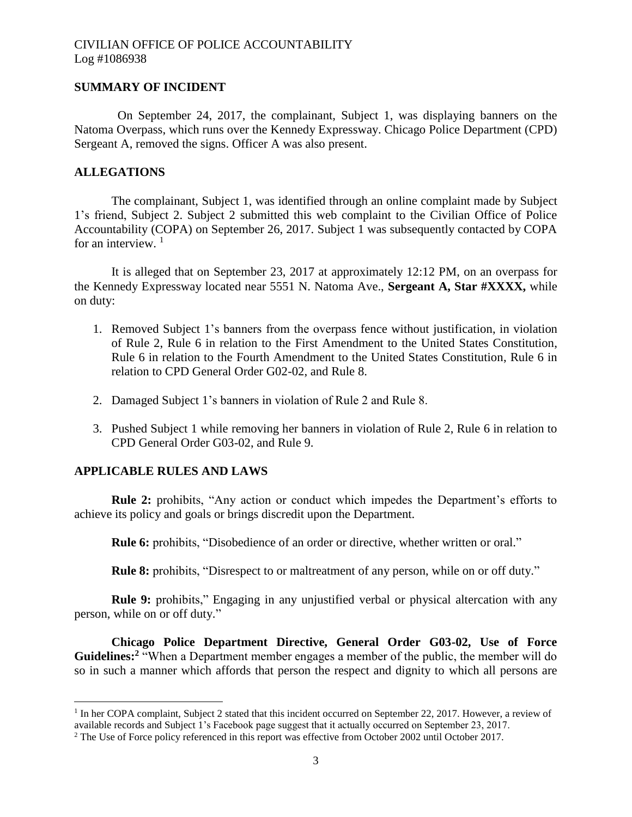### **SUMMARY OF INCIDENT**

On September 24, 2017, the complainant, Subject 1, was displaying banners on the Natoma Overpass, which runs over the Kennedy Expressway. Chicago Police Department (CPD) Sergeant A, removed the signs. Officer A was also present.

### **ALLEGATIONS**

The complainant, Subject 1, was identified through an online complaint made by Subject 1's friend, Subject 2. Subject 2 submitted this web complaint to the Civilian Office of Police Accountability (COPA) on September 26, 2017. Subject 1 was subsequently contacted by COPA for an interview.  $1$ 

It is alleged that on September 23, 2017 at approximately 12:12 PM, on an overpass for the Kennedy Expressway located near 5551 N. Natoma Ave., **Sergeant A, Star #XXXX,** while on duty:

- 1. Removed Subject 1's banners from the overpass fence without justification, in violation of Rule 2, Rule 6 in relation to the First Amendment to the United States Constitution, Rule 6 in relation to the Fourth Amendment to the United States Constitution, Rule 6 in relation to CPD General Order G02-02, and Rule 8.
- 2. Damaged Subject 1's banners in violation of Rule 2 and Rule 8.
- 3. Pushed Subject 1 while removing her banners in violation of Rule 2, Rule 6 in relation to CPD General Order G03-02, and Rule 9.

### **APPLICABLE RULES AND LAWS**

 $\overline{\phantom{a}}$ 

**Rule 2:** prohibits, "Any action or conduct which impedes the Department's efforts to achieve its policy and goals or brings discredit upon the Department.

**Rule 6:** prohibits, "Disobedience of an order or directive, whether written or oral."

**Rule 8:** prohibits, "Disrespect to or maltreatment of any person, while on or off duty."

**Rule 9:** prohibits," Engaging in any unjustified verbal or physical altercation with any person, while on or off duty."

**Chicago Police Department Directive, General Order G03-02, Use of Force**  Guidelines:<sup>2</sup> "When a Department member engages a member of the public, the member will do so in such a manner which affords that person the respect and dignity to which all persons are

<sup>&</sup>lt;sup>1</sup> In her COPA complaint, Subject 2 stated that this incident occurred on September 22, 2017. However, a review of available records and Subject 1's Facebook page suggest that it actually occurred on September 23, 2017.

<sup>&</sup>lt;sup>2</sup> The Use of Force policy referenced in this report was effective from October 2002 until October 2017.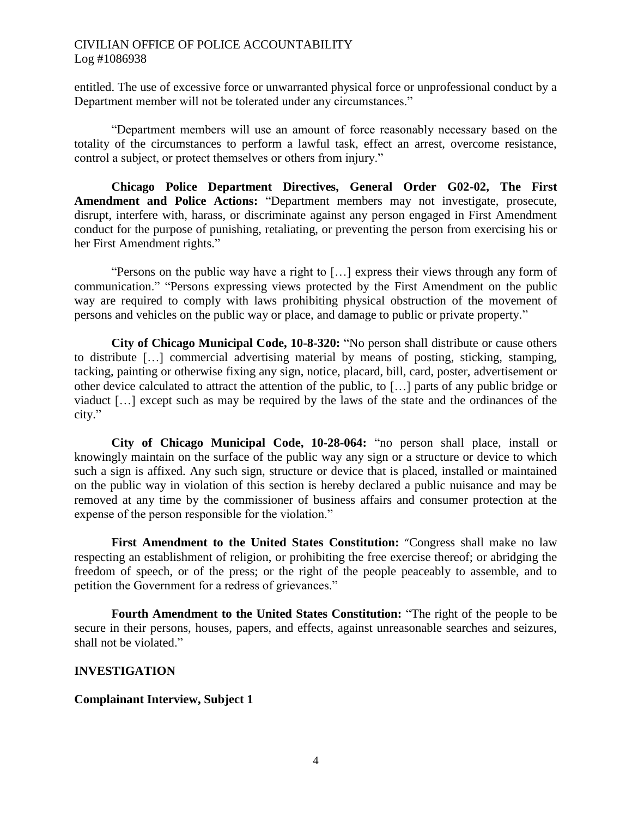entitled. The use of excessive force or unwarranted physical force or unprofessional conduct by a Department member will not be tolerated under any circumstances."

"Department members will use an amount of force reasonably necessary based on the totality of the circumstances to perform a lawful task, effect an arrest, overcome resistance, control a subject, or protect themselves or others from injury."

**Chicago Police Department Directives, General Order G02-02, The First Amendment and Police Actions:** "Department members may not investigate, prosecute, disrupt, interfere with, harass, or discriminate against any person engaged in First Amendment conduct for the purpose of punishing, retaliating, or preventing the person from exercising his or her First Amendment rights."

"Persons on the public way have a right to […] express their views through any form of communication." "Persons expressing views protected by the First Amendment on the public way are required to comply with laws prohibiting physical obstruction of the movement of persons and vehicles on the public way or place, and damage to public or private property."

**City of Chicago Municipal Code, 10-8-320:** "No person shall distribute or cause others to distribute […] commercial advertising material by means of posting, sticking, stamping, tacking, painting or otherwise fixing any sign, notice, placard, bill, card, poster, advertisement or other device calculated to attract the attention of the public, to […] parts of any public bridge or viaduct […] except such as may be required by the laws of the state and the ordinances of the city."

**City of Chicago Municipal Code, 10-28-064:** "no person shall place, install or knowingly maintain on the surface of the public way any sign or a structure or device to which such a sign is affixed. Any such sign, structure or device that is placed, installed or maintained on the public way in violation of this section is hereby declared a public nuisance and may be removed at any time by the commissioner of business affairs and consumer protection at the expense of the person responsible for the violation."

**First Amendment to the United States Constitution:** "Congress shall make no law respecting an establishment of religion, or prohibiting the free exercise thereof; or abridging the freedom of speech, or of the press; or the right of the people peaceably to assemble, and to petition the Government for a redress of grievances."

**Fourth Amendment to the United States Constitution:** "The right of the people to be secure in their persons, houses, papers, and effects, against unreasonable searches and seizures, shall not be violated."

### **INVESTIGATION**

#### **Complainant Interview, Subject 1**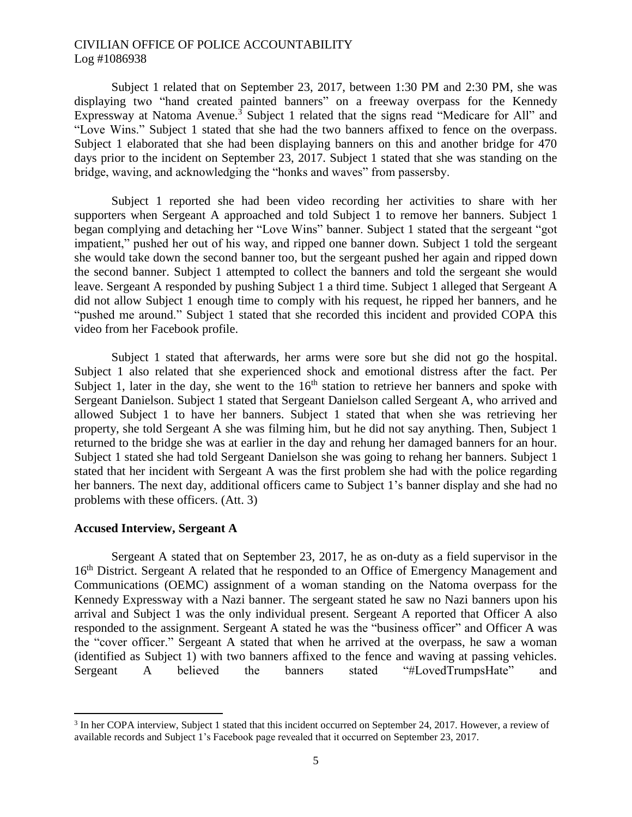Subject 1 related that on September 23, 2017, between 1:30 PM and 2:30 PM, she was displaying two "hand created painted banners" on a freeway overpass for the Kennedy Expressway at Natoma Avenue.<sup>3</sup> Subject 1 related that the signs read "Medicare for All" and "Love Wins." Subject 1 stated that she had the two banners affixed to fence on the overpass. Subject 1 elaborated that she had been displaying banners on this and another bridge for 470 days prior to the incident on September 23, 2017. Subject 1 stated that she was standing on the bridge, waving, and acknowledging the "honks and waves" from passersby.

Subject 1 reported she had been video recording her activities to share with her supporters when Sergeant A approached and told Subject 1 to remove her banners. Subject 1 began complying and detaching her "Love Wins" banner. Subject 1 stated that the sergeant "got impatient," pushed her out of his way, and ripped one banner down. Subject 1 told the sergeant she would take down the second banner too, but the sergeant pushed her again and ripped down the second banner. Subject 1 attempted to collect the banners and told the sergeant she would leave. Sergeant A responded by pushing Subject 1 a third time. Subject 1 alleged that Sergeant A did not allow Subject 1 enough time to comply with his request, he ripped her banners, and he "pushed me around." Subject 1 stated that she recorded this incident and provided COPA this video from her Facebook profile.

Subject 1 stated that afterwards, her arms were sore but she did not go the hospital. Subject 1 also related that she experienced shock and emotional distress after the fact. Per Subject 1, later in the day, she went to the  $16<sup>th</sup>$  station to retrieve her banners and spoke with Sergeant Danielson. Subject 1 stated that Sergeant Danielson called Sergeant A, who arrived and allowed Subject 1 to have her banners. Subject 1 stated that when she was retrieving her property, she told Sergeant A she was filming him, but he did not say anything. Then, Subject 1 returned to the bridge she was at earlier in the day and rehung her damaged banners for an hour. Subject 1 stated she had told Sergeant Danielson she was going to rehang her banners. Subject 1 stated that her incident with Sergeant A was the first problem she had with the police regarding her banners. The next day, additional officers came to Subject 1's banner display and she had no problems with these officers. (Att. 3)

#### **Accused Interview, Sergeant A**

 $\overline{a}$ 

Sergeant A stated that on September 23, 2017, he as on-duty as a field supervisor in the 16<sup>th</sup> District. Sergeant A related that he responded to an Office of Emergency Management and Communications (OEMC) assignment of a woman standing on the Natoma overpass for the Kennedy Expressway with a Nazi banner. The sergeant stated he saw no Nazi banners upon his arrival and Subject 1 was the only individual present. Sergeant A reported that Officer A also responded to the assignment. Sergeant A stated he was the "business officer" and Officer A was the "cover officer." Sergeant A stated that when he arrived at the overpass, he saw a woman (identified as Subject 1) with two banners affixed to the fence and waving at passing vehicles. Sergeant A believed the banners stated "#LovedTrumpsHate" and

<sup>&</sup>lt;sup>3</sup> In her COPA interview, Subject 1 stated that this incident occurred on September 24, 2017. However, a review of available records and Subject 1's Facebook page revealed that it occurred on September 23, 2017.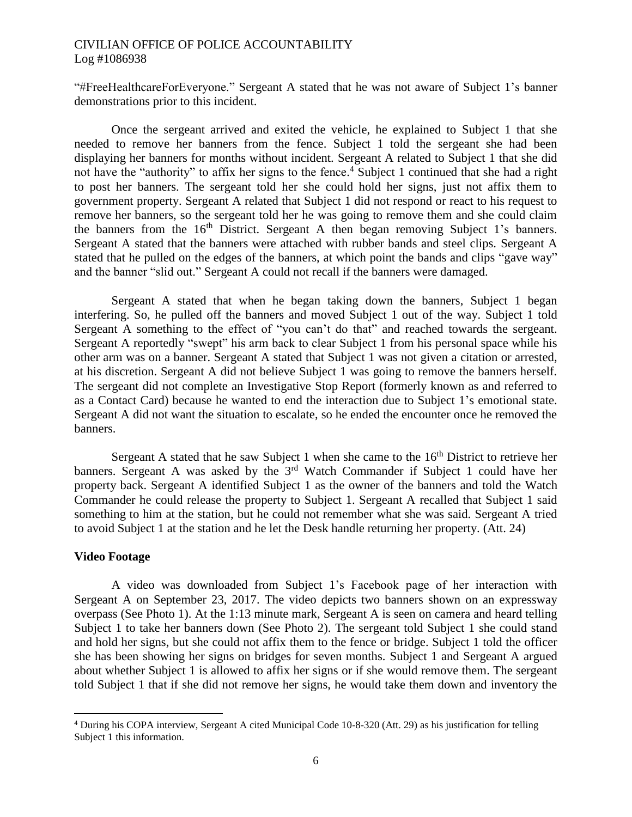"#FreeHealthcareForEveryone." Sergeant A stated that he was not aware of Subject 1's banner demonstrations prior to this incident.

Once the sergeant arrived and exited the vehicle, he explained to Subject 1 that she needed to remove her banners from the fence. Subject 1 told the sergeant she had been displaying her banners for months without incident. Sergeant A related to Subject 1 that she did not have the "authority" to affix her signs to the fence. <sup>4</sup> Subject 1 continued that she had a right to post her banners. The sergeant told her she could hold her signs, just not affix them to government property. Sergeant A related that Subject 1 did not respond or react to his request to remove her banners, so the sergeant told her he was going to remove them and she could claim the banners from the  $16<sup>th</sup>$  District. Sergeant A then began removing Subject 1's banners. Sergeant A stated that the banners were attached with rubber bands and steel clips. Sergeant A stated that he pulled on the edges of the banners, at which point the bands and clips "gave way" and the banner "slid out." Sergeant A could not recall if the banners were damaged.

Sergeant A stated that when he began taking down the banners, Subject 1 began interfering. So, he pulled off the banners and moved Subject 1 out of the way. Subject 1 told Sergeant A something to the effect of "you can't do that" and reached towards the sergeant. Sergeant A reportedly "swept" his arm back to clear Subject 1 from his personal space while his other arm was on a banner. Sergeant A stated that Subject 1 was not given a citation or arrested, at his discretion. Sergeant A did not believe Subject 1 was going to remove the banners herself. The sergeant did not complete an Investigative Stop Report (formerly known as and referred to as a Contact Card) because he wanted to end the interaction due to Subject 1's emotional state. Sergeant A did not want the situation to escalate, so he ended the encounter once he removed the banners.

Sergeant A stated that he saw Subject 1 when she came to the  $16<sup>th</sup>$  District to retrieve her banners. Sergeant A was asked by the 3<sup>rd</sup> Watch Commander if Subject 1 could have her property back. Sergeant A identified Subject 1 as the owner of the banners and told the Watch Commander he could release the property to Subject 1. Sergeant A recalled that Subject 1 said something to him at the station, but he could not remember what she was said. Sergeant A tried to avoid Subject 1 at the station and he let the Desk handle returning her property. (Att. 24)

#### **Video Footage**

 $\overline{a}$ 

A video was downloaded from Subject 1's Facebook page of her interaction with Sergeant A on September 23, 2017. The video depicts two banners shown on an expressway overpass (See Photo 1). At the 1:13 minute mark, Sergeant A is seen on camera and heard telling Subject 1 to take her banners down (See Photo 2). The sergeant told Subject 1 she could stand and hold her signs, but she could not affix them to the fence or bridge. Subject 1 told the officer she has been showing her signs on bridges for seven months. Subject 1 and Sergeant A argued about whether Subject 1 is allowed to affix her signs or if she would remove them. The sergeant told Subject 1 that if she did not remove her signs, he would take them down and inventory the

<sup>4</sup> During his COPA interview, Sergeant A cited Municipal Code 10-8-320 (Att. 29) as his justification for telling Subject 1 this information.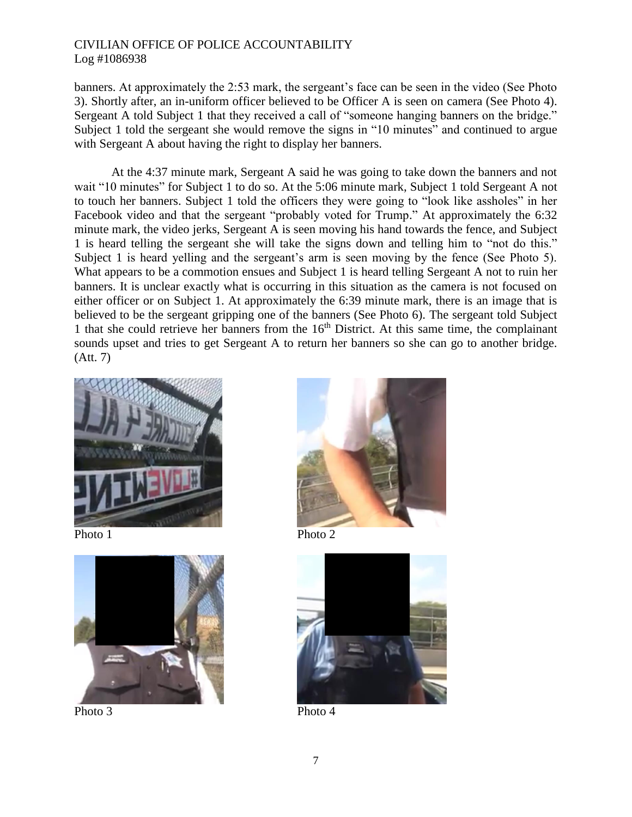banners. At approximately the 2:53 mark, the sergeant's face can be seen in the video (See Photo 3). Shortly after, an in-uniform officer believed to be Officer A is seen on camera (See Photo 4). Sergeant A told Subject 1 that they received a call of "someone hanging banners on the bridge." Subject 1 told the sergeant she would remove the signs in "10 minutes" and continued to argue with Sergeant A about having the right to display her banners.

At the 4:37 minute mark, Sergeant A said he was going to take down the banners and not wait "10 minutes" for Subject 1 to do so. At the 5:06 minute mark, Subject 1 told Sergeant A not to touch her banners. Subject 1 told the officers they were going to "look like assholes" in her Facebook video and that the sergeant "probably voted for Trump." At approximately the 6:32 minute mark, the video jerks, Sergeant A is seen moving his hand towards the fence, and Subject 1 is heard telling the sergeant she will take the signs down and telling him to "not do this." Subject 1 is heard yelling and the sergeant's arm is seen moving by the fence (See Photo 5). What appears to be a commotion ensues and Subject 1 is heard telling Sergeant A not to ruin her banners. It is unclear exactly what is occurring in this situation as the camera is not focused on either officer or on Subject 1. At approximately the 6:39 minute mark, there is an image that is believed to be the sergeant gripping one of the banners (See Photo 6). The sergeant told Subject 1 that she could retrieve her banners from the  $16<sup>th</sup>$  District. At this same time, the complainant sounds upset and tries to get Sergeant A to return her banners so she can go to another bridge. (Att. 7)





Photo 3 Photo 4



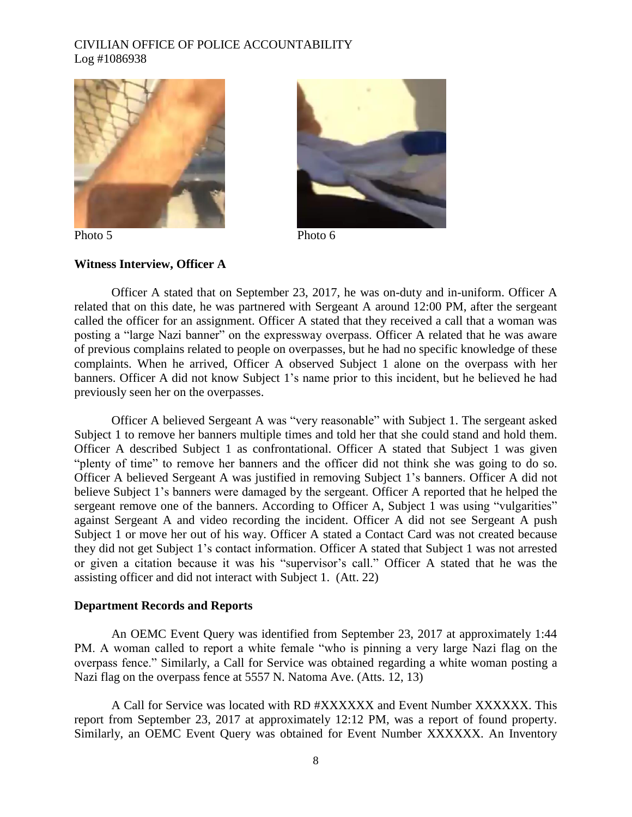



Photo 5 Photo 6

### **Witness Interview, Officer A**

Officer A stated that on September 23, 2017, he was on-duty and in-uniform. Officer A related that on this date, he was partnered with Sergeant A around 12:00 PM, after the sergeant called the officer for an assignment. Officer A stated that they received a call that a woman was posting a "large Nazi banner" on the expressway overpass. Officer A related that he was aware of previous complains related to people on overpasses, but he had no specific knowledge of these complaints. When he arrived, Officer A observed Subject 1 alone on the overpass with her banners. Officer A did not know Subject 1's name prior to this incident, but he believed he had previously seen her on the overpasses.

Officer A believed Sergeant A was "very reasonable" with Subject 1. The sergeant asked Subject 1 to remove her banners multiple times and told her that she could stand and hold them. Officer A described Subject 1 as confrontational. Officer A stated that Subject 1 was given "plenty of time" to remove her banners and the officer did not think she was going to do so. Officer A believed Sergeant A was justified in removing Subject 1's banners. Officer A did not believe Subject 1's banners were damaged by the sergeant. Officer A reported that he helped the sergeant remove one of the banners. According to Officer A, Subject 1 was using "vulgarities" against Sergeant A and video recording the incident. Officer A did not see Sergeant A push Subject 1 or move her out of his way. Officer A stated a Contact Card was not created because they did not get Subject 1's contact information. Officer A stated that Subject 1 was not arrested or given a citation because it was his "supervisor's call." Officer A stated that he was the assisting officer and did not interact with Subject 1. (Att. 22)

#### **Department Records and Reports**

An OEMC Event Query was identified from September 23, 2017 at approximately 1:44 PM. A woman called to report a white female "who is pinning a very large Nazi flag on the overpass fence." Similarly, a Call for Service was obtained regarding a white woman posting a Nazi flag on the overpass fence at 5557 N. Natoma Ave. (Atts. 12, 13)

A Call for Service was located with RD #XXXXXX and Event Number XXXXXX. This report from September 23, 2017 at approximately 12:12 PM, was a report of found property. Similarly, an OEMC Event Query was obtained for Event Number XXXXXX. An Inventory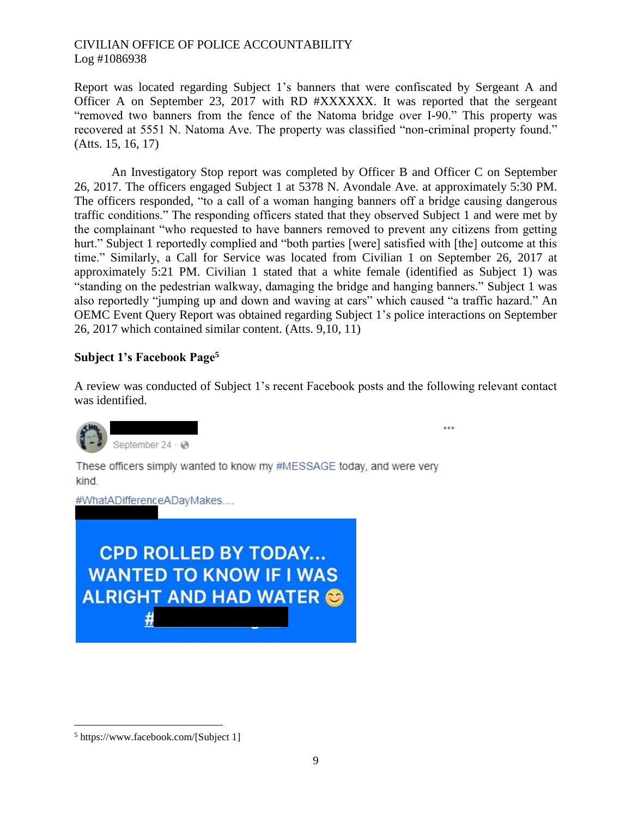Report was located regarding Subject 1's banners that were confiscated by Sergeant A and Officer A on September 23, 2017 with RD #XXXXXX. It was reported that the sergeant "removed two banners from the fence of the Natoma bridge over I-90." This property was recovered at 5551 N. Natoma Ave. The property was classified "non-criminal property found." (Atts. 15, 16, 17)

An Investigatory Stop report was completed by Officer B and Officer C on September 26, 2017. The officers engaged Subject 1 at 5378 N. Avondale Ave. at approximately 5:30 PM. The officers responded, "to a call of a woman hanging banners off a bridge causing dangerous traffic conditions." The responding officers stated that they observed Subject 1 and were met by the complainant "who requested to have banners removed to prevent any citizens from getting hurt." Subject 1 reportedly complied and "both parties [were] satisfied with [the] outcome at this time." Similarly, a Call for Service was located from Civilian 1 on September 26, 2017 at approximately 5:21 PM. Civilian 1 stated that a white female (identified as Subject 1) was "standing on the pedestrian walkway, damaging the bridge and hanging banners." Subject 1 was also reportedly "jumping up and down and waving at cars" which caused "a traffic hazard." An OEMC Event Query Report was obtained regarding Subject 1's police interactions on September 26, 2017 which contained similar content. (Atts. 9,10, 11)

## **Subject 1's Facebook Page<sup>5</sup>**

A review was conducted of Subject 1's recent Facebook posts and the following relevant contact was identified.

...



These officers simply wanted to know my #MESSAGE today, and were very kind.

#WhatADifferenceADayMakes....

**CPD ROLLED BY TODAY... WANTED TO KNOW IF I WAS ALRIGHT AND HAD WATER &** #

 $\overline{\phantom{a}}$ 

<sup>5</sup> https://www.facebook.com/[Subject 1]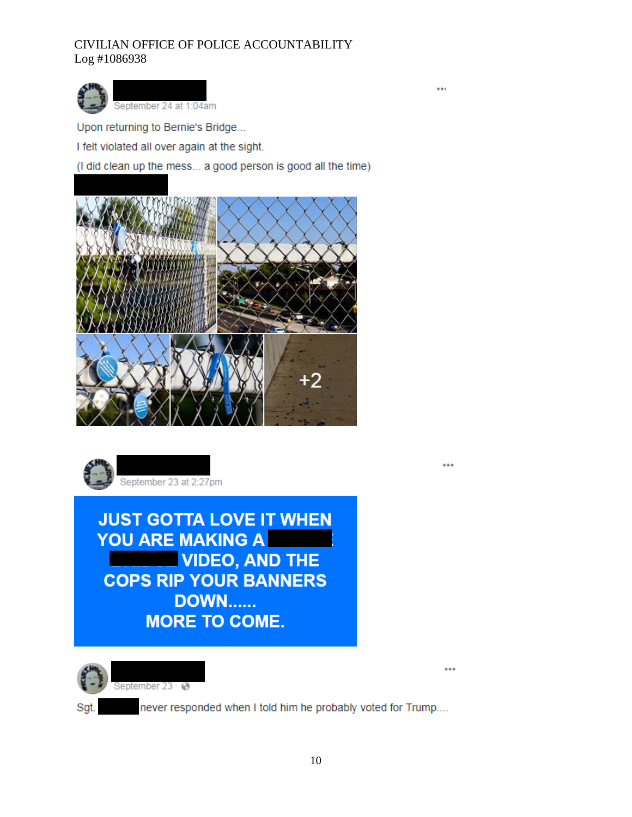

Upon returning to Bernie's Bridge...

I felt violated all over again at the sight.

(I did clean up the mess... a good person is good all the time)

...

...





**JUST GOTTA LOVE IT WHEN** YOU ARE MAKING A **VIDEO, AND THE COPS RIP YOUR BANNERS DOWN...... MORE TO COME.** 



Sgt.

never responded when I told him he probably voted for Trump....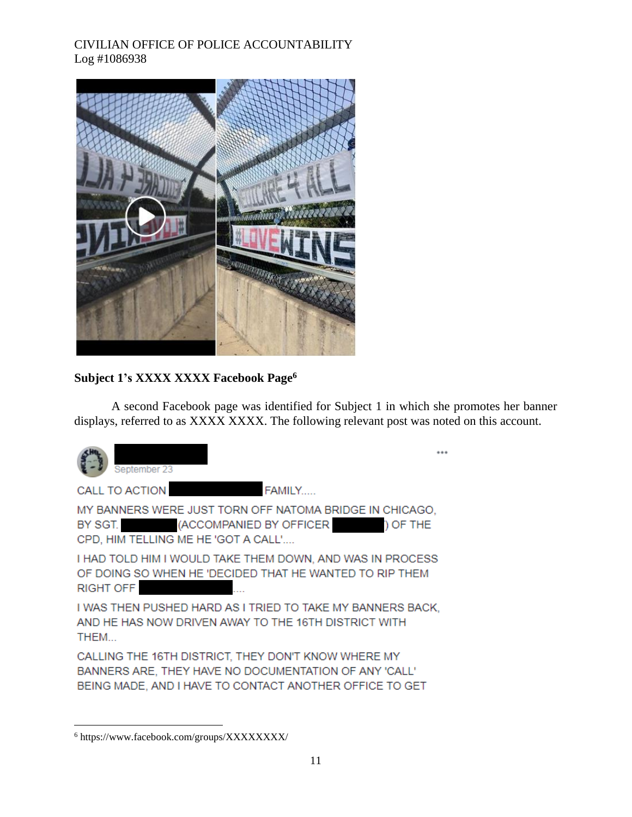

# **Subject 1's XXXX XXXX Facebook Page<sup>6</sup>**

A second Facebook page was identified for Subject 1 in which she promotes her banner displays, referred to as XXXX XXXX. The following relevant post was noted on this account.



CALLING THE 16TH DISTRICT, THEY DON'T KNOW WHERE MY BANNERS ARE, THEY HAVE NO DOCUMENTATION OF ANY 'CALL' BEING MADE, AND I HAVE TO CONTACT ANOTHER OFFICE TO GET

 $\overline{\phantom{a}}$ <sup>6</sup> https://www.facebook.com/groups/XXXXXXXX/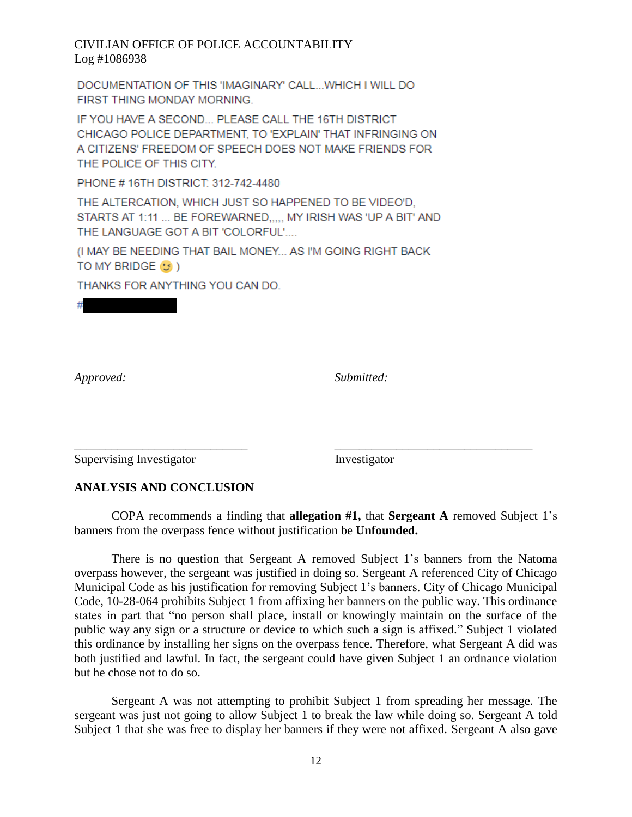DOCUMENTATION OF THIS 'IMAGINARY' CALL... WHICH I WILL DO FIRST THING MONDAY MORNING.

IF YOU HAVE A SECOND... PLEASE CALL THE 16TH DISTRICT CHICAGO POLICE DEPARTMENT, TO 'EXPLAIN' THAT INFRINGING ON A CITIZENS' FREEDOM OF SPEECH DOES NOT MAKE FRIENDS FOR THE POLICE OF THIS CITY.

PHONE #16TH DISTRICT: 312-742-4480

THE ALTERCATION, WHICH JUST SO HAPPENED TO BE VIDEO'D, STARTS AT 1:11 ... BE FOREWARNED, ... MY IRISH WAS 'UP A BIT' AND THE LANGUAGE GOT A BIT 'COLORFUL'....

(I MAY BE NEEDING THAT BAIL MONEY... AS I'M GOING RIGHT BACK TO MY BRIDGE (3)

THANKS FOR ANYTHING YOU CAN DO.

*Approved: Submitted:*

Supervising Investigator **Investigator** Investigator

## **ANALYSIS AND CONCLUSION**

COPA recommends a finding that **allegation #1,** that **Sergeant A** removed Subject 1's banners from the overpass fence without justification be **Unfounded.**

\_\_\_\_\_\_\_\_\_\_\_\_\_\_\_\_\_\_\_\_\_\_\_\_\_\_\_\_ \_\_\_\_\_\_\_\_\_\_\_\_\_\_\_\_\_\_\_\_\_\_\_\_\_\_\_\_\_\_\_\_

There is no question that Sergeant A removed Subject 1's banners from the Natoma overpass however, the sergeant was justified in doing so. Sergeant A referenced City of Chicago Municipal Code as his justification for removing Subject 1's banners. City of Chicago Municipal Code, 10-28-064 prohibits Subject 1 from affixing her banners on the public way. This ordinance states in part that "no person shall place, install or knowingly maintain on the surface of the public way any sign or a structure or device to which such a sign is affixed." Subject 1 violated this ordinance by installing her signs on the overpass fence. Therefore, what Sergeant A did was both justified and lawful. In fact, the sergeant could have given Subject 1 an ordnance violation but he chose not to do so.

Sergeant A was not attempting to prohibit Subject 1 from spreading her message. The sergeant was just not going to allow Subject 1 to break the law while doing so. Sergeant A told Subject 1 that she was free to display her banners if they were not affixed. Sergeant A also gave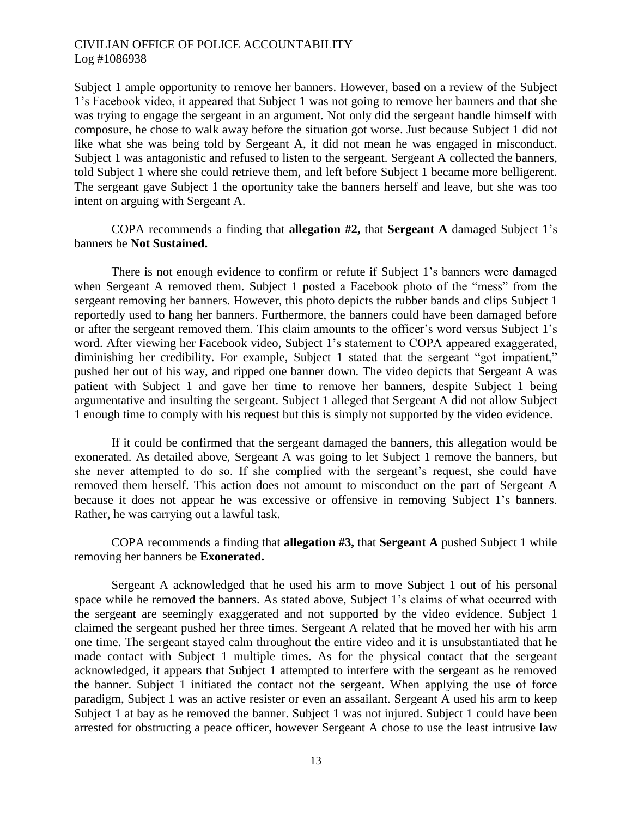Subject 1 ample opportunity to remove her banners. However, based on a review of the Subject 1's Facebook video, it appeared that Subject 1 was not going to remove her banners and that she was trying to engage the sergeant in an argument. Not only did the sergeant handle himself with composure, he chose to walk away before the situation got worse. Just because Subject 1 did not like what she was being told by Sergeant A, it did not mean he was engaged in misconduct. Subject 1 was antagonistic and refused to listen to the sergeant. Sergeant A collected the banners, told Subject 1 where she could retrieve them, and left before Subject 1 became more belligerent. The sergeant gave Subject 1 the oportunity take the banners herself and leave, but she was too intent on arguing with Sergeant A.

### COPA recommends a finding that **allegation #2,** that **Sergeant A** damaged Subject 1's banners be **Not Sustained.**

There is not enough evidence to confirm or refute if Subject 1's banners were damaged when Sergeant A removed them. Subject 1 posted a Facebook photo of the "mess" from the sergeant removing her banners. However, this photo depicts the rubber bands and clips Subject 1 reportedly used to hang her banners. Furthermore, the banners could have been damaged before or after the sergeant removed them. This claim amounts to the officer's word versus Subject 1's word. After viewing her Facebook video, Subject 1's statement to COPA appeared exaggerated, diminishing her credibility. For example, Subject 1 stated that the sergeant "got impatient," pushed her out of his way, and ripped one banner down. The video depicts that Sergeant A was patient with Subject 1 and gave her time to remove her banners, despite Subject 1 being argumentative and insulting the sergeant. Subject 1 alleged that Sergeant A did not allow Subject 1 enough time to comply with his request but this is simply not supported by the video evidence.

If it could be confirmed that the sergeant damaged the banners, this allegation would be exonerated. As detailed above, Sergeant A was going to let Subject 1 remove the banners, but she never attempted to do so. If she complied with the sergeant's request, she could have removed them herself. This action does not amount to misconduct on the part of Sergeant A because it does not appear he was excessive or offensive in removing Subject 1's banners. Rather, he was carrying out a lawful task.

### COPA recommends a finding that **allegation #3,** that **Sergeant A** pushed Subject 1 while removing her banners be **Exonerated.**

Sergeant A acknowledged that he used his arm to move Subject 1 out of his personal space while he removed the banners. As stated above, Subject 1's claims of what occurred with the sergeant are seemingly exaggerated and not supported by the video evidence. Subject 1 claimed the sergeant pushed her three times. Sergeant A related that he moved her with his arm one time. The sergeant stayed calm throughout the entire video and it is unsubstantiated that he made contact with Subject 1 multiple times. As for the physical contact that the sergeant acknowledged, it appears that Subject 1 attempted to interfere with the sergeant as he removed the banner. Subject 1 initiated the contact not the sergeant. When applying the use of force paradigm, Subject 1 was an active resister or even an assailant. Sergeant A used his arm to keep Subject 1 at bay as he removed the banner. Subject 1 was not injured. Subject 1 could have been arrested for obstructing a peace officer, however Sergeant A chose to use the least intrusive law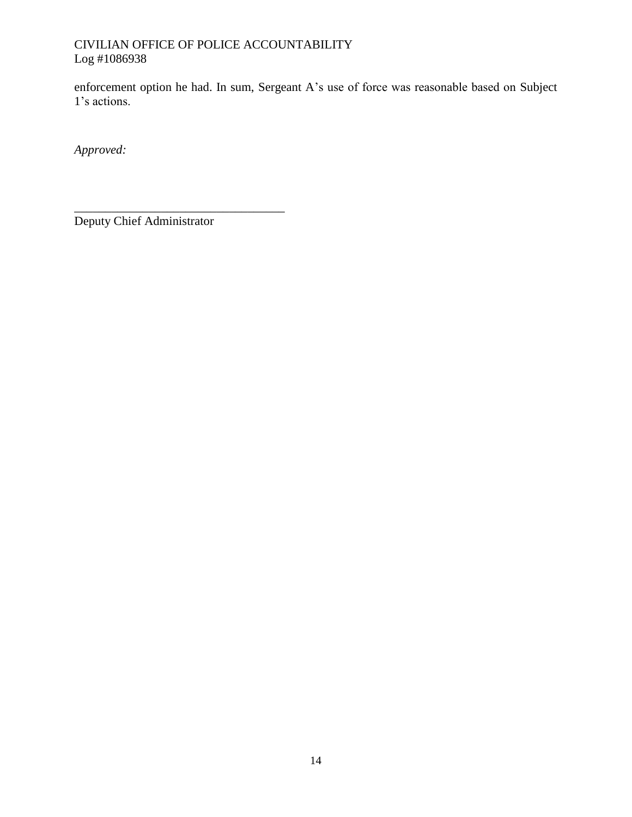enforcement option he had. In sum, Sergeant A's use of force was reasonable based on Subject 1's actions.

*Approved:*

Deputy Chief Administrator

\_\_\_\_\_\_\_\_\_\_\_\_\_\_\_\_\_\_\_\_\_\_\_\_\_\_\_\_\_\_\_\_\_\_